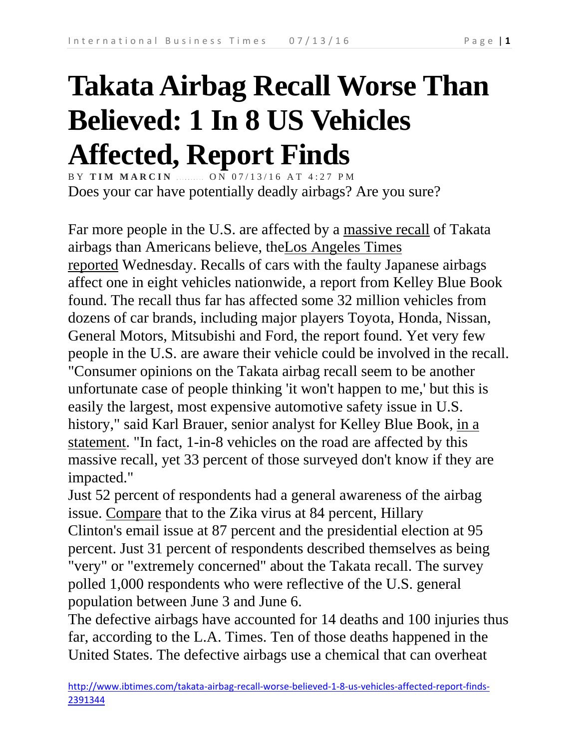## **Takata Airbag Recall Worse Than Believed: 1 In 8 US Vehicles Affected, Report Finds**

BY **TIM MARCIN CON 07/13/16 AT 4:27 PM** Does your car have potentially deadly airbags? Are you sure?

Far more people in the U.S. are affected by a massive recall of Takata airbags than Americans believe, theLos Angeles Times reported Wednesday. Recalls of cars with the faulty Japanese airbags affect one in eight vehicles nationwide, a report from Kelley Blue Book found. The recall thus far has affected some 32 million vehicles from dozens of car brands, including major players Toyota, Honda, Nissan, General Motors, Mitsubishi and Ford, the report found. Yet very few people in the U.S. are aware their vehicle could be involved in the recall. "Consumer opinions on the Takata airbag recall seem to be another unfortunate case of people thinking 'it won't happen to me,' but this is easily the largest, most expensive automotive safety issue in U.S. history," said Karl Brauer, senior analyst for Kelley Blue Book, in a statement. "In fact, 1-in-8 vehicles on the road are affected by this massive recall, yet 33 percent of those surveyed don't know if they are impacted."

Just 52 percent of respondents had a general awareness of the airbag issue. Compare that to the Zika virus at 84 percent, Hillary Clinton's email issue at 87 percent and the presidential election at 95 percent. Just 31 percent of respondents described themselves as being "very" or "extremely concerned" about the Takata recall. The survey polled 1,000 respondents who were reflective of the U.S. general population between June 3 and June 6.

The defective airbags have accounted for 14 deaths and 100 injuries thus far, according to the L.A. Times. Ten of those deaths happened in the United States. The defective airbags use a chemical that can overheat